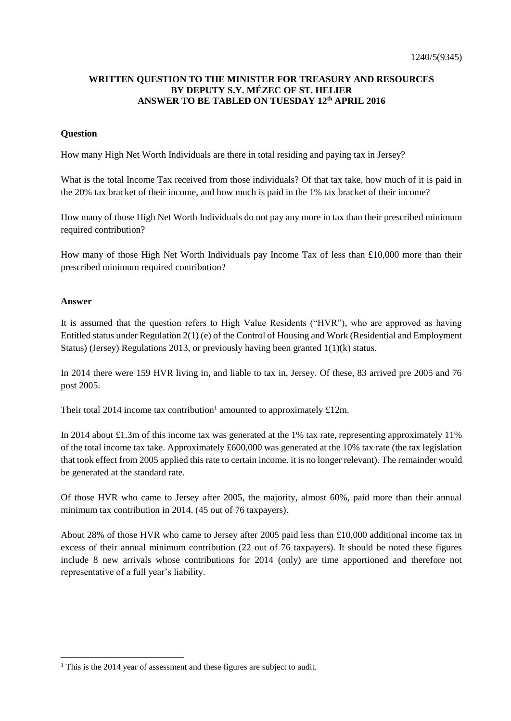## **WRITTEN QUESTION TO THE MINISTER FOR TREASURY AND RESOURCES BY DEPUTY S.Y. MÉZEC OF ST. HELIER ANSWER TO BE TABLED ON TUESDAY 12th APRIL 2016**

## **Question**

How many High Net Worth Individuals are there in total residing and paying tax in Jersey?

What is the total Income Tax received from those individuals? Of that tax take, how much of it is paid in the 20% tax bracket of their income, and how much is paid in the 1% tax bracket of their income?

How many of those High Net Worth Individuals do not pay any more in tax than their prescribed minimum required contribution?

How many of those High Net Worth Individuals pay Income Tax of less than £10,000 more than their prescribed minimum required contribution?

## **Answer**

l

It is assumed that the question refers to High Value Residents ("HVR"), who are approved as having Entitled status under Regulation 2(1) (e) of the Control of Housing and Work (Residential and Employment Status) (Jersey) Regulations 2013, or previously having been granted 1(1)(k) status.

In 2014 there were 159 HVR living in, and liable to tax in, Jersey. Of these, 83 arrived pre 2005 and 76 post 2005.

Their total 2014 income tax contribution<sup>1</sup> amounted to approximately £12m.

In 2014 about £1.3m of this income tax was generated at the 1% tax rate, representing approximately 11% of the total income tax take. Approximately £600,000 was generated at the 10% tax rate (the tax legislation that took effect from 2005 applied this rate to certain income. it is no longer relevant). The remainder would be generated at the standard rate.

Of those HVR who came to Jersey after 2005, the majority, almost 60%, paid more than their annual minimum tax contribution in 2014. (45 out of 76 taxpayers).

About 28% of those HVR who came to Jersey after 2005 paid less than £10,000 additional income tax in excess of their annual minimum contribution (22 out of 76 taxpayers). It should be noted these figures include 8 new arrivals whose contributions for 2014 (only) are time apportioned and therefore not representative of a full year's liability.

<sup>&</sup>lt;sup>1</sup> This is the 2014 year of assessment and these figures are subject to audit.